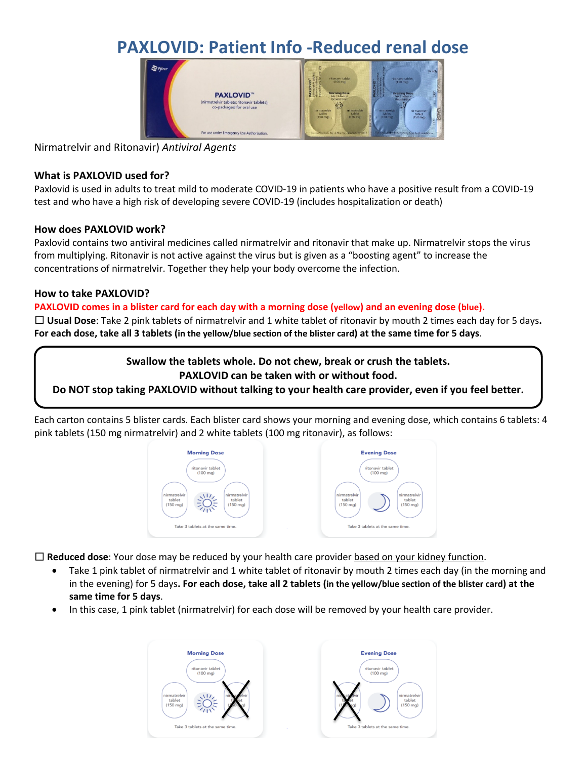# **PAXLOVID: Patient Info -Reduced renal dose**



Nirmatrelvir and Ritonavir) *Antiviral Agents*

## **What is PAXLOVID used for?**

Paxlovid is used in adults to treat mild to moderate COVID-19 in patients who have a positive result from a COVID-19 test and who have a high risk of developing severe COVID-19 (includes hospitalization or death)

## **How does PAXLOVID work?**

Paxlovid contains two antiviral medicines called nirmatrelvir and ritonavir that make up. Nirmatrelvir stops the virus from multiplying. Ritonavir is not active against the virus but is given as a "boosting agent" to increase the concentrations of nirmatrelvir. Together they help your body overcome the infection.

## **How to take PAXLOVID?**

## **PAXLOVID comes in a blister card for each day with a morning dose (yellow) and an evening dose (blue).**

☐ **Usual Dose**: Take 2 pink tablets of nirmatrelvir and 1 white tablet of ritonavir by mouth 2 times each day for 5 days**. For each dose, take all 3 tablets (in the yellow/blue section of the blister card) at the same time for 5 days**.

**Swallow the tablets whole. Do not chew, break or crush the tablets.**

## **PAXLOVID can be taken with or without food.**

**Do NOT stop taking PAXLOVID without talking to your health care provider, even if you feel better.**

Each carton contains 5 blister cards. Each blister card shows your morning and evening dose, which contains 6 tablets: 4 pink tablets (150 mg nirmatrelvir) and 2 white tablets (100 mg ritonavir), as follows:



☐ **Reduced dose**: Your dose may be reduced by your health care provider based on your kidney function.

- Take 1 pink tablet of nirmatrelvir and 1 white tablet of ritonavir by mouth 2 times each day (in the morning and in the evening) for 5 days**. For each dose, take all 2 tablets (in the yellow/blue section of the blister card) at the same time for 5 days**.
- In this case, 1 pink tablet (nirmatrelvir) for each dose will be removed by your health care provider.